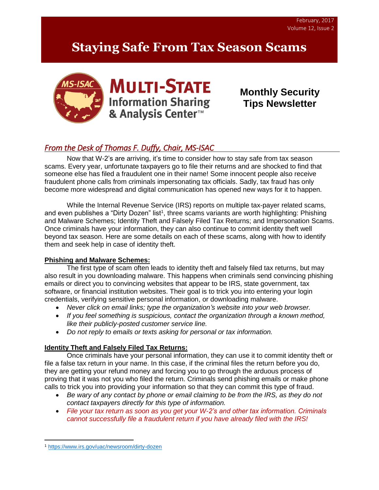# **Staying Safe From Tax Season Scams**





**Monthly Security Tips Newsletter**

# *From the Desk of Thomas F. Duffy, Chair, MS-ISAC*

Now that W-2's are arriving, it's time to consider how to stay safe from tax season scams. Every year, unfortunate taxpayers go to file their returns and are shocked to find that someone else has filed a fraudulent one in their name! Some innocent people also receive fraudulent phone calls from criminals impersonating tax officials. Sadly, tax fraud has only become more widespread and digital communication has opened new ways for it to happen.

While the Internal Revenue Service (IRS) reports on multiple tax-payer related scams, and even publishes a "Dirty Dozen" list<sup>1</sup>, three scams variants are worth highlighting: Phishing and Malware Schemes; Identity Theft and Falsely Filed Tax Returns; and Impersonation Scams. Once criminals have your information, they can also continue to commit identity theft well beyond tax season. Here are some details on each of these scams, along with how to identify them and seek help in case of identity theft.

## **Phishing and Malware Schemes:**

The first type of scam often leads to identity theft and falsely filed tax returns, but may also result in you downloading malware. This happens when criminals send convincing phishing emails or direct you to convincing websites that appear to be IRS, state government, tax software, or financial institution websites. Their goal is to trick you into entering your login credentials, verifying sensitive personal information, or downloading malware.

- *Never click on email links; type the organization's website into your web browser.*
- *If you feel something is suspicious, contact the organization through a known method, like their publicly-posted customer service line.*
- *Do not reply to emails or texts asking for personal or tax information.*

## **Identity Theft and Falsely Filed Tax Returns:**

Once criminals have your personal information, they can use it to commit identity theft or file a false tax return in your name. In this case, if the criminal files the return before you do, they are getting your refund money and forcing you to go through the arduous process of proving that it was not you who filed the return. Criminals send phishing emails or make phone calls to trick you into providing your information so that they can commit this type of fraud.

- *Be wary of any contact by phone or email claiming to be from the IRS, as they do not contact taxpayers directly for this type of information.*
- *File your tax return as soon as you get your W-2's and other tax information. Criminals cannot successfully file a fraudulent return if you have already filed with the IRS!*

 $\overline{a}$ <sup>1</sup> <https://www.irs.gov/uac/newsroom/dirty-dozen>